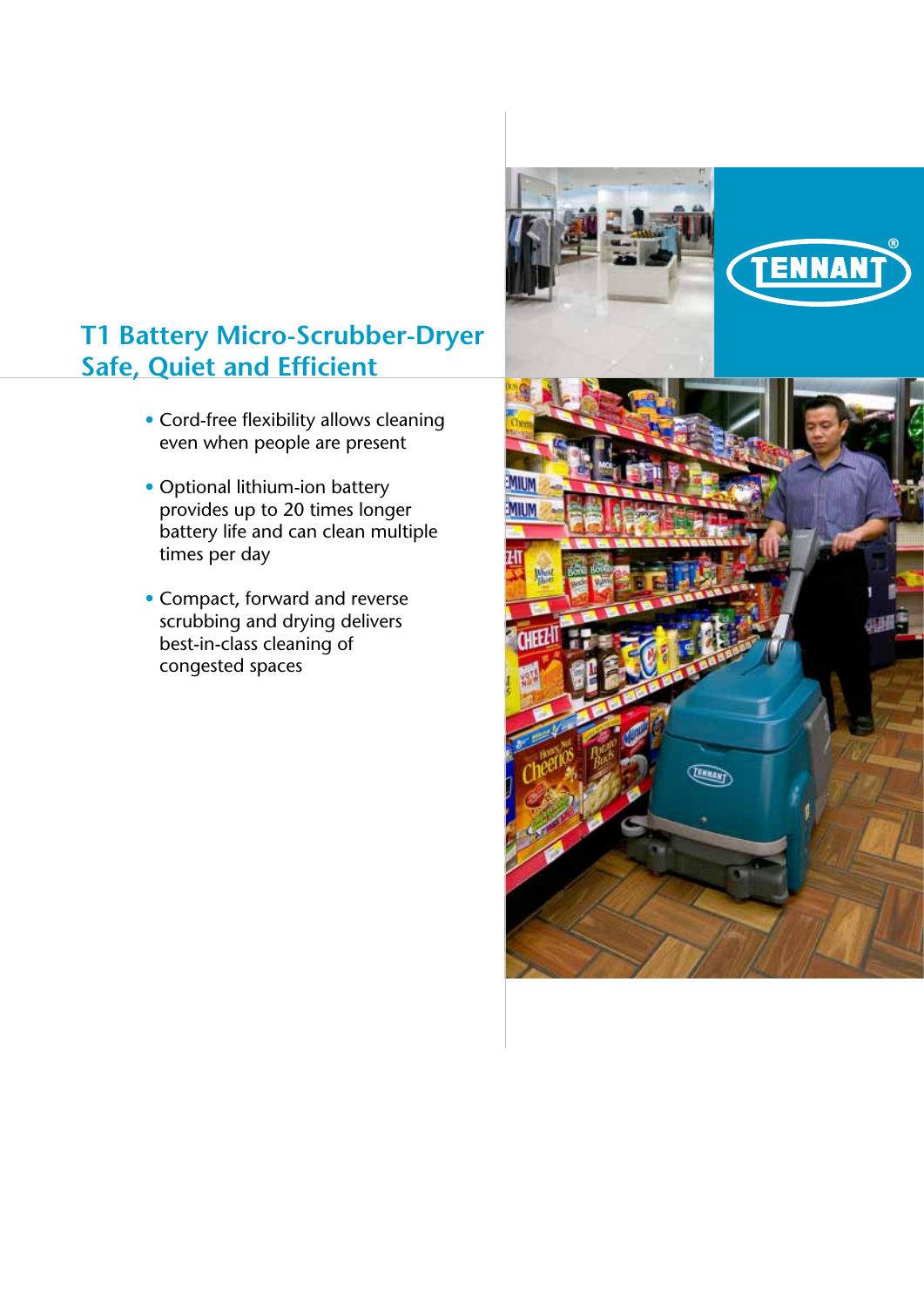# **T1 Battery Micro-Scrubber-Dryer Safe, Quiet and Efficient**

- Cord-free flexibility allows cleaning even when people are present
- Optional lithium-ion battery provides up to 20 times longer battery life and can clean multiple times per day
- Compact, forward and reverse scrubbing and drying delivers best-in-class cleaning of congested spaces

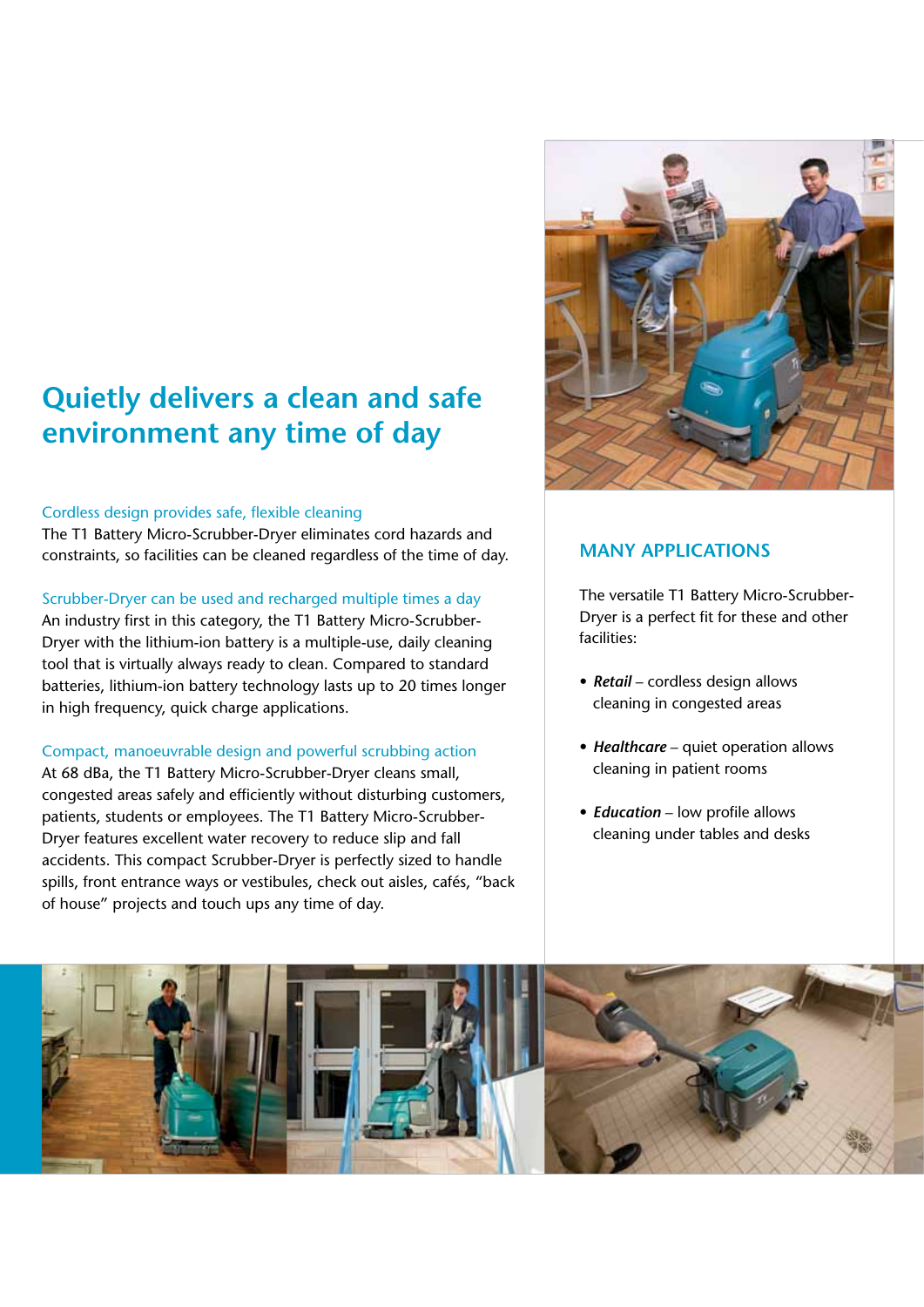# **Quietly delivers a clean and safe environment any time of day**

#### Cordless design provides safe, flexible cleaning

The T1 Battery Micro-Scrubber-Dryer eliminates cord hazards and constraints, so facilities can be cleaned regardless of the time of day.

#### Scrubber-Dryer can be used and recharged multiple times a day

An industry first in this category, the T1 Battery Micro-Scrubber-Dryer with the lithium-ion battery is a multiple-use, daily cleaning tool that is virtually always ready to clean. Compared to standard batteries, lithium-ion battery technology lasts up to 20 times longer in high frequency, quick charge applications.

#### Compact, manoeuvrable design and powerful scrubbing action

At 68 dBa, the T1 Battery Micro-Scrubber-Dryer cleans small, congested areas safely and efficiently without disturbing customers, patients, students or employees. The T1 Battery Micro-Scrubber-Dryer features excellent water recovery to reduce slip and fall accidents. This compact Scrubber-Dryer is perfectly sized to handle spills, front entrance ways or vestibules, check out aisles, cafés, "back of house" projects and touch ups any time of day.



### **MANY APPLICATIONS**

The versatile T1 Battery Micro-Scrubber-Dryer is a perfect fit for these and other facilities:

- *Retail* cordless design allows cleaning in congested areas
- *Healthcare* quiet operation allows cleaning in patient rooms
- *Education* low profile allows cleaning under tables and desks

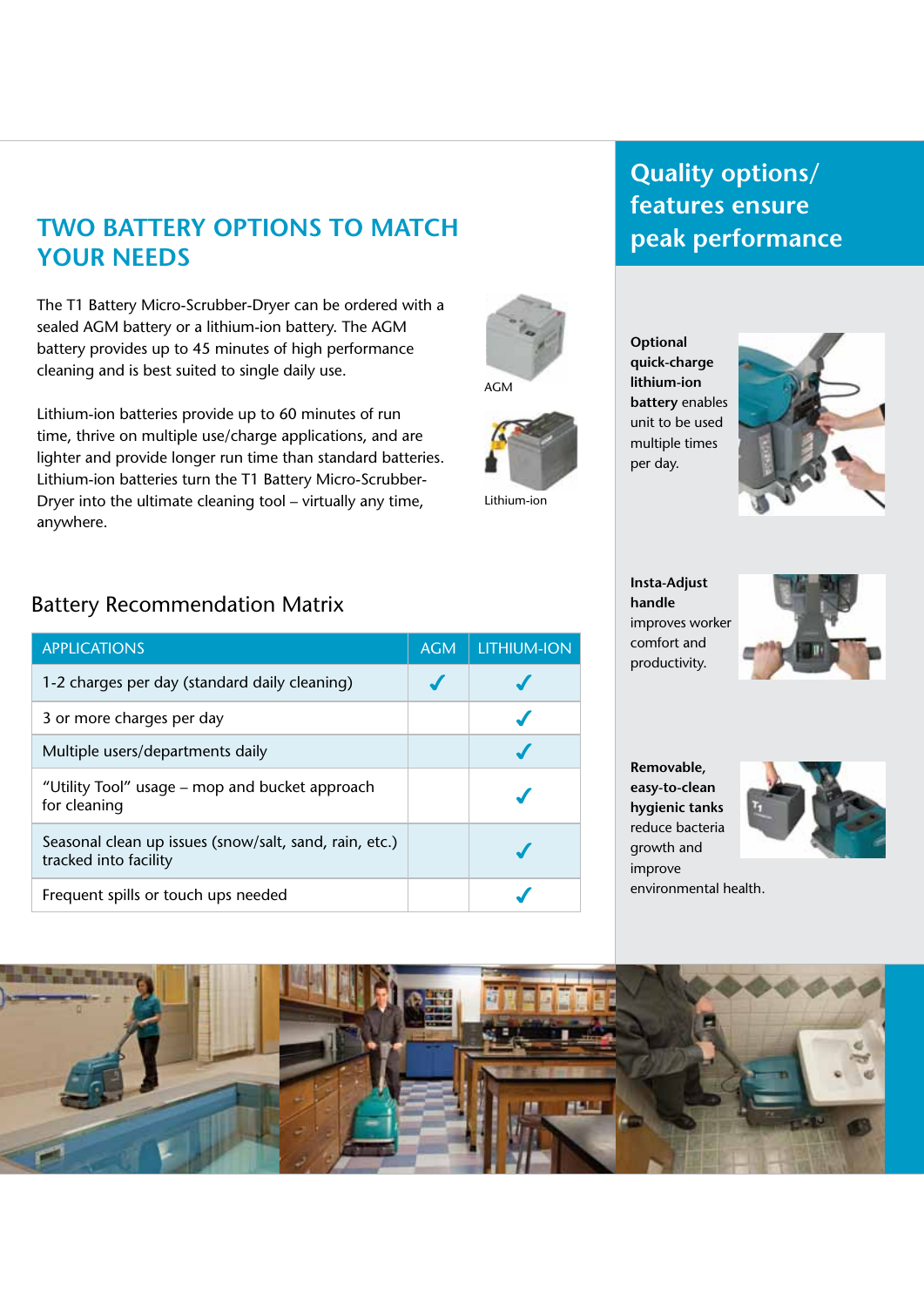# **Two Battery Options to Match Your Needs**

The T1 Battery Micro-Scrubber-Dryer can be ordered with a sealed AGM battery or a lithium-ion battery. The AGM battery provides up to 45 minutes of high performance cleaning and is best suited to single daily use.

Lithium-ion batteries provide up to 60 minutes of run time, thrive on multiple use/charge applications, and are lighter and provide longer run time than standard batteries. Lithium-ion batteries turn the T1 Battery Micro-Scrubber-Dryer into the ultimate cleaning tool – virtually any time, anywhere.

## Battery Recommendation Matrix

| <b>APPLICATIONS</b>                                                             | <b>AGM</b> | <b>LITHIUM-ION</b> |
|---------------------------------------------------------------------------------|------------|--------------------|
| 1-2 charges per day (standard daily cleaning)                                   |            |                    |
| 3 or more charges per day                                                       |            |                    |
| Multiple users/departments daily                                                |            |                    |
| "Utility Tool" usage – mop and bucket approach<br>for cleaning                  |            |                    |
| Seasonal clean up issues (snow/salt, sand, rain, etc.)<br>tracked into facility |            |                    |
| Frequent spills or touch ups needed                                             |            |                    |

# **Quality options/ features ensure peak performance**

**Optional quick-charge lithium-ion battery** enables unit to be used multiple times per day.

AGM

Lithium-ion



**Insta-Adjust handle**  improves worker comfort and productivity.



**Removable, easy-to-clean hygienic tanks**  reduce bacteria growth and improve



environmental health.